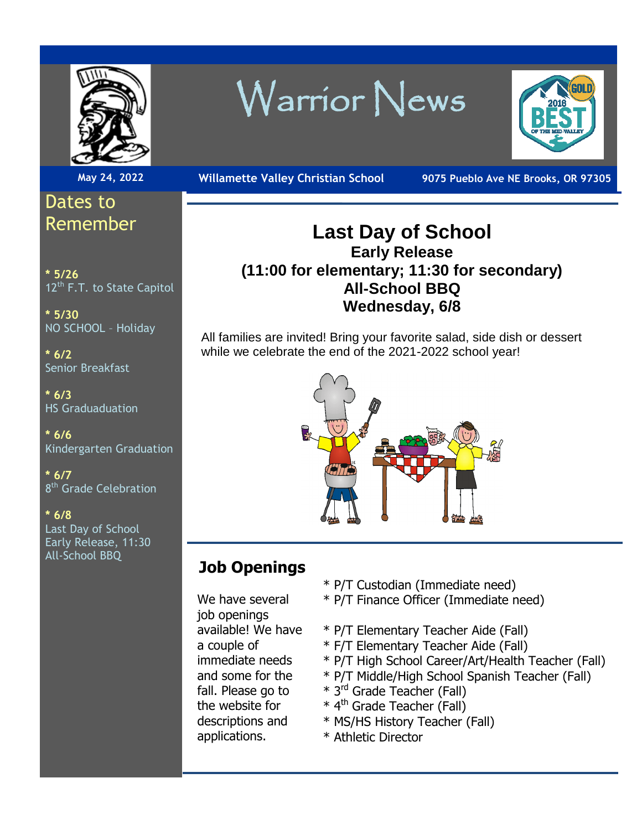

# Dates to Remember

**\* 5/26** 12<sup>th</sup> F.T. to State Capitol

**\* 5/30** NO SCHOOL – Holiday

**\* 6/2** Senior Breakfast

**\* 6/3** HS Graduaduation

**\* 6/6** Kindergarten Graduation

**\* 6/7** 8<sup>th</sup> Grade Celebration

**\* 6/8** Last Day of School Early Release, 11:30 All-School BBQ

# Warrior News



**May 24, 2022 Willamette Valley Christian School 9075 Pueblo Ave NE Brooks, OR 97305** 

## **Last Day of School Early Release (11:00 for elementary; 11:30 for secondary) All-School BBQ Wednesday, 6/8**

All families are invited! Bring your favorite salad, side dish or dessert while we celebrate the end of the 2021-2022 school year!



# **Job Openings**

We have several job openings available! We have a couple of immediate needs and some for the fall. Please go to the website for descriptions and applications.

- \* P/T Custodian (Immediate need)
- \* P/T Finance Officer (Immediate need)
- \* P/T Elementary Teacher Aide (Fall)
- \* F/T Elementary Teacher Aide (Fall)
- \* P/T High School Career/Art/Health Teacher (Fall)
- \* P/T Middle/High School Spanish Teacher (Fall)
- \* 3rd Grade Teacher (Fall)
- $*$  4<sup>th</sup> Grade Teacher (Fall)
- \* MS/HS History Teacher (Fall)
- \* Athletic Director